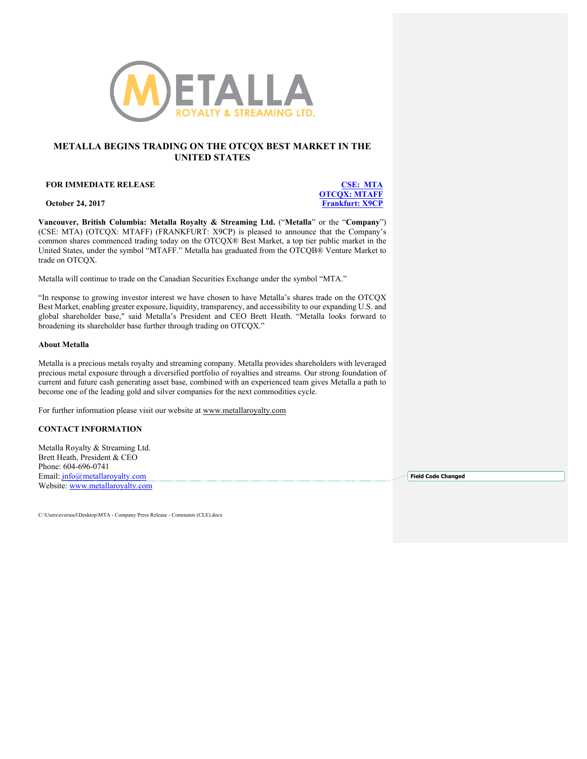

## **METALLA BEGINS TRADING ON THE OTCQX BEST MARKET IN THE UNITED STATES**

#### **FOR IMMEDIATE RELEASE CSE: MTA**

**OTCQX: MTAFF October 24, 2017 Frankfurt: X9CP** 

**Vancouver, British Columbia: Metalla Royalty & Streaming Ltd.** ("**Metalla**" or the "**Company**") (CSE: MTA) (OTCQX: MTAFF) (FRANKFURT: X9CP) is pleased to announce that the Company's common shares commenced trading today on the OTCQX® Best Market, a top tier public market in the United States, under the symbol "MTAFF." Metalla has graduated from the OTCQB® Venture Market to trade on OTCQX.

Metalla will continue to trade on the Canadian Securities Exchange under the symbol "MTA."

"In response to growing investor interest we have chosen to have Metalla's shares trade on the OTCQX Best Market, enabling greater exposure, liquidity, transparency, and accessibility to our expanding U.S. and global shareholder base," said Metalla's President and CEO Brett Heath. "Metalla looks forward to broadening its shareholder base further through trading on OTCQX."

### **About Metalla**

Metalla is a precious metals royalty and streaming company. Metalla provides shareholders with leveraged precious metal exposure through a diversified portfolio of royalties and streams. Our strong foundation of current and future cash generating asset base, combined with an experienced team gives Metalla a path to become one of the leading gold and silver companies for the next commodities cycle.

For further information please visit our website at www.metallaroyalty.com

### **CONTACT INFORMATION**

Metalla Royalty & Streaming Ltd. Brett Heath, President & CEO Phone: 604-696-0741 Email: info@metallaroyalty.com Website: www.metallaroyalty.com

**Field Code Changed**

C:\Users\eversocl\Desktop\MTA - Company Press Release - Comments (CLE).docx